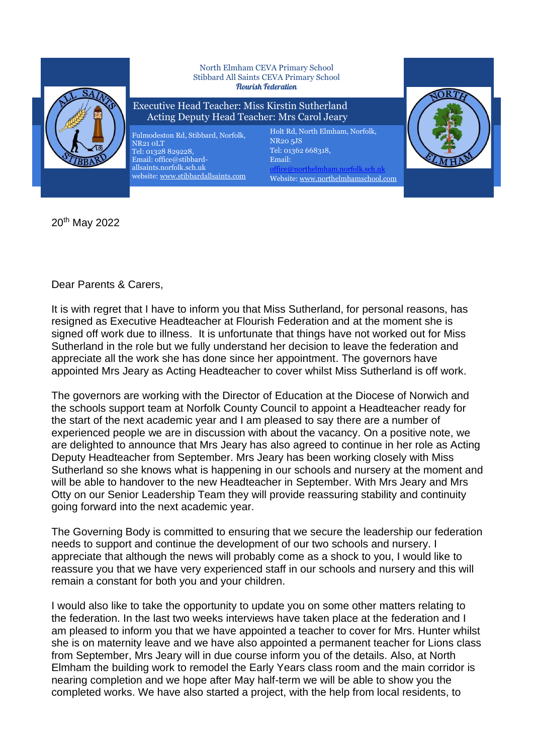

20th May 2022

Dear Parents & Carers,

It is with regret that I have to inform you that Miss Sutherland, for personal reasons, has resigned as Executive Headteacher at Flourish Federation and at the moment she is signed off work due to illness. It is unfortunate that things have not worked out for Miss Sutherland in the role but we fully understand her decision to leave the federation and appreciate all the work she has done since her appointment. The governors have appointed Mrs Jeary as Acting Headteacher to cover whilst Miss Sutherland is off work.

The governors are working with the Director of Education at the Diocese of Norwich and the schools support team at Norfolk County Council to appoint a Headteacher ready for the start of the next academic year and I am pleased to say there are a number of experienced people we are in discussion with about the vacancy. On a positive note, we are delighted to announce that Mrs Jeary has also agreed to continue in her role as Acting Deputy Headteacher from September. Mrs Jeary has been working closely with Miss Sutherland so she knows what is happening in our schools and nursery at the moment and will be able to handover to the new Headteacher in September. With Mrs Jeary and Mrs Otty on our Senior Leadership Team they will provide reassuring stability and continuity going forward into the next academic year.

The Governing Body is committed to ensuring that we secure the leadership our federation needs to support and continue the development of our two schools and nursery. I appreciate that although the news will probably come as a shock to you, I would like to reassure you that we have very experienced staff in our schools and nursery and this will remain a constant for both you and your children.

I would also like to take the opportunity to update you on some other matters relating to the federation. In the last two weeks interviews have taken place at the federation and I am pleased to inform you that we have appointed a teacher to cover for Mrs. Hunter whilst she is on maternity leave and we have also appointed a permanent teacher for Lions class from September, Mrs Jeary will in due course inform you of the details. Also, at North Elmham the building work to remodel the Early Years class room and the main corridor is nearing completion and we hope after May half-term we will be able to show you the completed works. We have also started a project, with the help from local residents, to